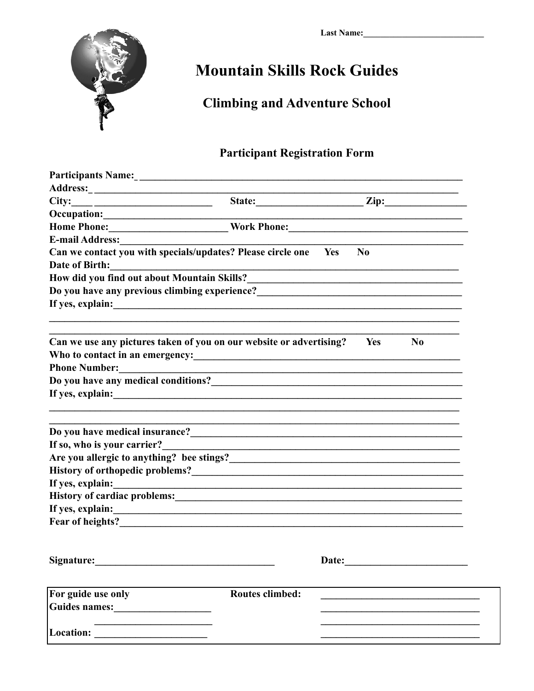

## **Mountain Skills Rock Guides**

## **Climbing and Adventure School**

## **Participant Registration Form**

|                                                                                                                                                                                                                                        |                                                                                                                      | State: <u>Zip: Zip:</u>                                                                                          |                |  |  |  |  |
|----------------------------------------------------------------------------------------------------------------------------------------------------------------------------------------------------------------------------------------|----------------------------------------------------------------------------------------------------------------------|------------------------------------------------------------------------------------------------------------------|----------------|--|--|--|--|
| Occupation: Designation Control of the Control of the Control of the Control of the Control of the Control of the Control of the Control of the Control of the Control of the Control of the Control of the Control of the Con         |                                                                                                                      |                                                                                                                  |                |  |  |  |  |
| Home Phone:___________________________Work Phone:________________________________                                                                                                                                                      |                                                                                                                      |                                                                                                                  |                |  |  |  |  |
|                                                                                                                                                                                                                                        |                                                                                                                      |                                                                                                                  |                |  |  |  |  |
| Can we contact you with specials/updates? Please circle one Yes                                                                                                                                                                        |                                                                                                                      | N <sub>0</sub>                                                                                                   |                |  |  |  |  |
| Date of Birth:                                                                                                                                                                                                                         |                                                                                                                      |                                                                                                                  |                |  |  |  |  |
| How did you find out about Mountain Skills?<br><u>Letting and the contract of the set of the set of the set of the set of the set of the set of the set of the set of the set of the set of the set of the set of the set of the s</u> |                                                                                                                      |                                                                                                                  |                |  |  |  |  |
|                                                                                                                                                                                                                                        |                                                                                                                      |                                                                                                                  |                |  |  |  |  |
|                                                                                                                                                                                                                                        |                                                                                                                      |                                                                                                                  |                |  |  |  |  |
| Can we use any pictures taken of you on our website or advertising?                                                                                                                                                                    |                                                                                                                      | Yes                                                                                                              | N <sub>0</sub> |  |  |  |  |
|                                                                                                                                                                                                                                        |                                                                                                                      |                                                                                                                  |                |  |  |  |  |
| <b>Phone Number:</b>                                                                                                                                                                                                                   | <u> 1989 - Andrea State Barbara, amerikan basar dan berasal dan berasal dalam basa dan berasal dan berasal dalam</u> |                                                                                                                  |                |  |  |  |  |
|                                                                                                                                                                                                                                        |                                                                                                                      |                                                                                                                  |                |  |  |  |  |
|                                                                                                                                                                                                                                        |                                                                                                                      |                                                                                                                  |                |  |  |  |  |
| Do you have medical insurance?<br><u>Letter and the set of the set of the set of the set of the set of the set of the set of the set of the set of the set of the set of the set of the set of the set of the set of the set of th</u> |                                                                                                                      |                                                                                                                  |                |  |  |  |  |
| If so, who is your carrier?                                                                                                                                                                                                            |                                                                                                                      | and the control of the control of the control of the control of the control of the control of the control of the |                |  |  |  |  |
|                                                                                                                                                                                                                                        |                                                                                                                      |                                                                                                                  |                |  |  |  |  |
| History of orthopedic problems?<br><u> and</u> the contract of the problems of the contract of the contract of the contract of the contract of the contract of the contract of the contract of the contract of the contract of the co  |                                                                                                                      |                                                                                                                  |                |  |  |  |  |
| If yes, explain:                                                                                                                                                                                                                       |                                                                                                                      |                                                                                                                  |                |  |  |  |  |
|                                                                                                                                                                                                                                        |                                                                                                                      |                                                                                                                  |                |  |  |  |  |
|                                                                                                                                                                                                                                        |                                                                                                                      |                                                                                                                  |                |  |  |  |  |
|                                                                                                                                                                                                                                        |                                                                                                                      |                                                                                                                  |                |  |  |  |  |
| Signature:                                                                                                                                                                                                                             |                                                                                                                      | Date:                                                                                                            |                |  |  |  |  |
|                                                                                                                                                                                                                                        |                                                                                                                      |                                                                                                                  |                |  |  |  |  |
| For guide use only                                                                                                                                                                                                                     | <b>Routes climbed:</b>                                                                                               |                                                                                                                  |                |  |  |  |  |
|                                                                                                                                                                                                                                        |                                                                                                                      |                                                                                                                  |                |  |  |  |  |
|                                                                                                                                                                                                                                        |                                                                                                                      |                                                                                                                  |                |  |  |  |  |
|                                                                                                                                                                                                                                        |                                                                                                                      |                                                                                                                  |                |  |  |  |  |
|                                                                                                                                                                                                                                        |                                                                                                                      |                                                                                                                  |                |  |  |  |  |